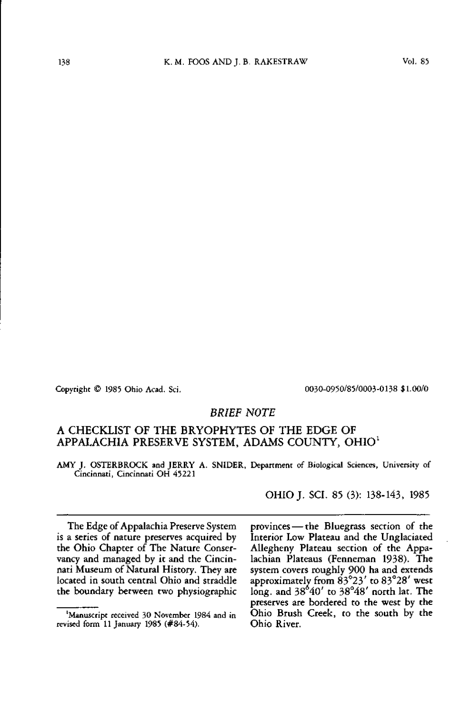Copyright © 1985 Ohio Acad. Sci. OO3O-O95O/85/OOO3-O138 \$1.00/0

### *BRIEF NOTE*

### A CHECKLIST OF THE BRYOPHYTES OF THE EDGE OF APPALACHIA PRESERVE SYSTEM, ADAMS COUNTY, OHIO<sup>1</sup>

AMY J. OSTERBROCK and JERRY A. SNIDER, Department of Biological Sciences, University of Cincinnati, Cincinnati OH 45221

OHIOJ. SCI. 85 (3): 138-143, 1985

The Edge of Appalachia Preserve System is a series of nature preserves acquired by the Ohio Chapter of The Nature Conservancy and managed by it and the Cincinnati Museum of Natural History. They are located in south central Ohio and straddle the boundary between two physiographic

provinces — the Bluegrass section of the Interior Low Plateau and the Unglaciated Allegheny Plateau section of the Appalachian Plateaus (Fenneman 1938). The system covers roughly 900 ha and extends approximately from 83°23' to 83°28' west long, and 38°40' to 38°48' north lat. The preserves are bordered to the west by the Ohio Brush Creek, to the south by the Ohio River.

<sup>&#</sup>x27;Manuscript received 30 November 1984 and in revised form 11 January 1985 (#84-54).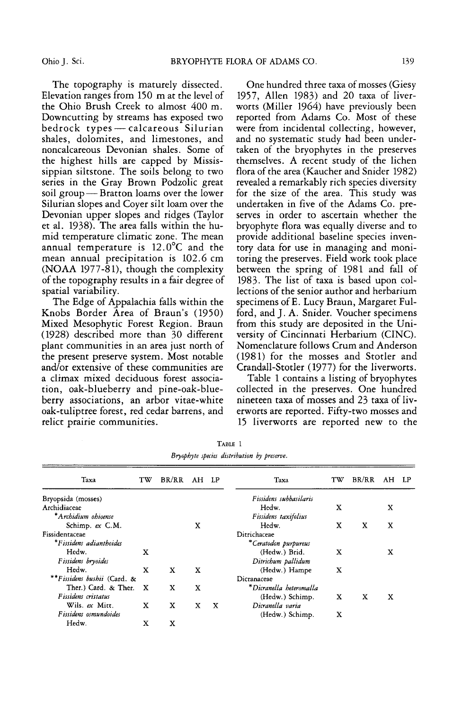The topography is maturely dissected. Elevation ranges from 150 m at the level of the Ohio Brush Creek to almost 400 m. Downcutting by streams has exposed two bedrock types — calcareous Silurian shales, dolomites, and limestones, and noncalcareous Devonian shales. Some of the highest hills are capped by Mississippian siltstone. The soils belong to two series in the Gray Brown Podzolic great soil group — Bratton loams over the lower Silurian slopes and Coyer silt loam over the Devonian upper slopes and ridges (Taylor et al. 1938). The area falls within the humid temperature climatic zone. The mean annual temperature is 12.0°C and the mean annual precipitation is 102.6 cm (NOAA 1977-81), though the complexity of the topography results in a fair degree of spatial variability.

The Edge of Appalachia falls within the Knobs Border Area of Braun's (1950) Mixed Mesophytic Forest Region. Braun (1928) described more than 30 different plant communities in an area just north of the present preserve system. Most notable and/or extensive of these communities are a climax mixed deciduous forest association, oak-blueberry and pine-oak-blueberry associations, an arbor vitae-white oak-tuliptree forest, red cedar barrens, and relict prairie communities.

One hundred three taxa of mosses (Giesy 1957, Allen 1983) and 20 taxa of liverworts (Miller 1964) have previously been reported from Adams Co. Most of these were from incidental collecting, however, and no systematic study had been undertaken of the bryophytes in the preserves themselves. A recent study of the lichen flora of the area (Kaucher and Snider 1982) revealed a remarkably rich species diversity for the size of the area. This study was undertaken in five of the Adams Co. preserves in order to ascertain whether the bryophyte flora was equally diverse and to provide additional baseline species inventory data for use in managing and monitoring the preserves. Field work took place between the spring of 1981 and fall of 1983- The list of taxa is based upon collections of the senior author and herbarium specimens of E. Lucy Braun, Margaret Fulford, and J. A. Snider. Voucher specimens from this study are deposited in the University of Cincinnati Herbarium (CINC). Nomenclature follows Crum and Anderson (1981) for the mosses and Stotler and Crandall-Stotler (1977) for the liverworts.

Table 1 contains a listing of bryophytes collected in the preserves. One hundred nineteen taxa of mosses and 23 taxa of liverworts are reported. Fifty-two mosses and 15 liverworts are reported new to the

| Taxa                        | тw | BR/RR AH LP |   |   | Taxa                    | TW | BR/RR | AH | - LP |
|-----------------------------|----|-------------|---|---|-------------------------|----|-------|----|------|
| Bryopsida (mosses)          |    |             |   |   | Fissidens subbasilaris  |    |       |    |      |
| Archidiaceae                |    |             |   |   | Hedw.                   | x  |       | x  |      |
| *Archidium ohioense         |    |             |   |   | Fissidens taxifolius    |    |       |    |      |
| Schimp. $ex$ C.M.           |    |             | x |   | Hedw.                   | x  | X     | x  |      |
| Fissidentaceae              |    |             |   |   | Ditrichaceae            |    |       |    |      |
| *Fissidens adianthoides     |    |             |   |   | *Ceratodon purpureus    |    |       |    |      |
| Hedw.                       | x  |             |   |   | (Hedw.) Brid.           | x  |       | x  |      |
| Fissidens bryoides          |    |             |   |   | Ditrichum pallidum      |    |       |    |      |
| Hedw.                       | x  | X           | x |   | (Hedw.) Hampe           | x  |       |    |      |
| **Fissidens bushii (Card. & |    |             |   |   | Dicranaceae             |    |       |    |      |
| Ther.) Card. & Ther.        | X  | x           | x |   | *Dicranella heteromalla |    |       |    |      |
| Fissidens cristatus         |    |             |   |   | (Hedw.) Schimp.         | X  | X     | x  |      |
| Wils. ex Mitt.              | x  | x           | x | X | Dicranella varia        |    |       |    |      |
| Fissidens osmundoides       |    |             |   |   | (Hedw.) Schimp.         | X  |       |    |      |
| Hedw.                       | x  | x           |   |   |                         |    |       |    |      |

TABLE 1 Bryophyte species distribution by preserve.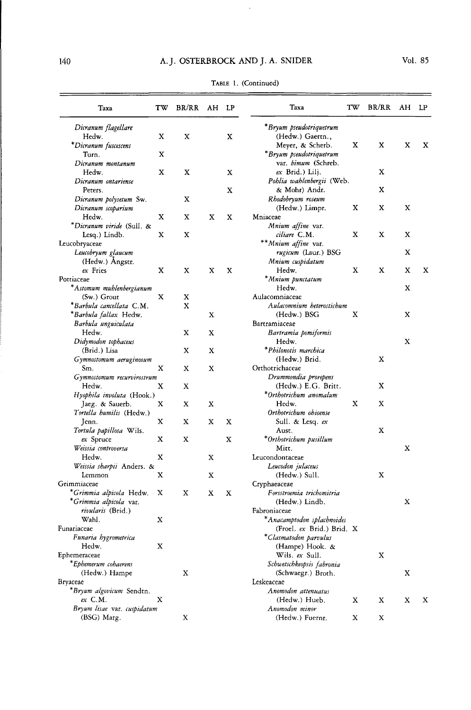# 140 A.J. OSTERBROCK AND J. A. SNIDER

| *Bryum pseudotriquetrum<br>Dicranum flagellare<br>(Hedw.) Gaertn.,<br>Hedw.<br>x<br>X<br>x<br>x<br>x<br>x<br>*Dicranum fuscescens<br>Meyer, & Scherb.<br>x<br>*Bryum pseudotriquetrum<br>Turn.<br>x<br>var. <i>bimum</i> (Schreb.<br>Dicranum montanum<br>X<br>X<br>X<br>X<br>ex Brid.) Lilj.<br>Hedw.<br>Pohlia wahlenbergii (Web.<br>Dicranum ontariense<br>x<br>X<br>& Mohr) Andr.<br>Peters.<br>X<br>Rhodobryum roseum<br>Dicranum polysetum Sw.<br>x<br>x<br>X<br>Dicranum scoparium<br>(Hedw.) Limpr.<br>Hedw.<br>X<br>x<br>х<br>x<br>Mniaceae<br>*Dicranum viride (Sull. &<br>Mnium affine var.<br>X<br>ciliare C.M.<br>x<br>x<br>X<br>Lesq.) Lindb.<br>x<br>** Mnium affine var.<br>rugicum (Laur.) BSG<br>X<br>Leucobryum glaucum<br>(Hedw.) Angstr.<br>Mnium cuspidatum<br>ex Fries<br>x<br>X<br>X<br>X<br>Hedw.<br>x<br>x<br>X<br>х<br>Pottiaceae<br>*Mnium punctatum<br>*Astomum muhlenbergianum<br>Hedw.<br>X<br>$(Sw.)$ Grout<br>X<br>х<br>Aulacomniaceae<br>*Barbula cancellata C.M.<br>Aulacomnium heterostichum<br>X<br>*Barbula fallax Hedw.<br>X<br>(Hedw.) BSG<br>x<br>X<br>Barbula unguiculata<br>Bartramiaceae<br>Hedw.<br>x<br>x<br>Bartramia pomiformis<br>Didymodon tophaceus<br>X<br>Hedw.<br>*Philonotis marchica<br>(Brid.) Lisa<br>X<br>х<br>(Hedw.) Brid.<br>x<br>Gymnostomum aeruginosum<br>x<br>Orthotrichaceae<br>Sm.<br>X<br>X<br>Drummondia prorepens<br>Gymnostomum recurvirostrum<br>(Hedw.) E.G. Britt.<br>X<br>Hedw.<br>x<br>X<br>*Orthotrichum anomalum<br>Hyophila involuta (Hook.)<br>Х<br>x<br>Hedw.<br>X<br>Jaeg & Sauerb.<br>x<br>x<br>Orthotrichum ohioense<br>Tortella humilis (Hedw.)<br>X<br>x<br>x<br>x<br>Sull. & Lesq. ex<br>Jenn.<br>x<br>Tortula papillosa Wils.<br>Aust.<br>х<br>X<br>x<br>*Orthotrichum pusillum<br>ex Spruce<br>х<br>Weissia controversa<br>Mitt.<br>x<br>x<br>Hedw.<br>Leucondontaceae<br>Weissia sharpii Anders. &<br>Leucodon julaceus<br>X<br>х<br>Lemmon<br>x<br>(Hedw.) Sull.<br>Grimmiaceae<br>Cryphaeaceae<br>*Grimmia alpicola Hedw.<br>X<br>X<br>Forsstroemia trichomitria<br>х<br>X<br>*Grimmia alpicola var.<br>X<br>(Hedw.) Lindb.<br><i>rivularis</i> (Brid.)<br>Fabroniaceae<br>Wahl.<br>*Anacamptodon splachnoides<br>x<br>(Froel. ex Brid.) Brid. X<br>Funaria hygrometrica<br>*Clasmatodon parvulus<br>Hedw.<br>X<br>(Hampe) Hook. &<br>Wils. ex Sull.<br>x<br>*Ephemerum cohaerens<br>Schwetschkeopsis fabronia<br>(Hedw.) Hampe<br>Χ<br>(Schwaegr.) Broth.<br>X<br>Leskeaceae<br>*Bryum algovicum Sendtn.<br>Anomodon attenuatus<br>$ex$ C.M.<br>Χ<br>(Hedw.) Hueb.<br>X<br>X<br>X<br>х<br>Bryum lisae var. cuspidatum<br>Anomodon minor<br>(BSG) Marg.<br>X<br>(Hedw.) Fuernr.<br>X<br>х | Taxa          | TW | BR/RR AH LP |  | Taxa | TW | BR/RR | AH | LP |
|----------------------------------------------------------------------------------------------------------------------------------------------------------------------------------------------------------------------------------------------------------------------------------------------------------------------------------------------------------------------------------------------------------------------------------------------------------------------------------------------------------------------------------------------------------------------------------------------------------------------------------------------------------------------------------------------------------------------------------------------------------------------------------------------------------------------------------------------------------------------------------------------------------------------------------------------------------------------------------------------------------------------------------------------------------------------------------------------------------------------------------------------------------------------------------------------------------------------------------------------------------------------------------------------------------------------------------------------------------------------------------------------------------------------------------------------------------------------------------------------------------------------------------------------------------------------------------------------------------------------------------------------------------------------------------------------------------------------------------------------------------------------------------------------------------------------------------------------------------------------------------------------------------------------------------------------------------------------------------------------------------------------------------------------------------------------------------------------------------------------------------------------------------------------------------------------------------------------------------------------------------------------------------------------------------------------------------------------------------------------------------------------------------------------------------------------------------------------------------------------------------------------------------------------------------------------------------------------------------------------------------------------------------------------------------------|---------------|----|-------------|--|------|----|-------|----|----|
|                                                                                                                                                                                                                                                                                                                                                                                                                                                                                                                                                                                                                                                                                                                                                                                                                                                                                                                                                                                                                                                                                                                                                                                                                                                                                                                                                                                                                                                                                                                                                                                                                                                                                                                                                                                                                                                                                                                                                                                                                                                                                                                                                                                                                                                                                                                                                                                                                                                                                                                                                                                                                                                                                        |               |    |             |  |      |    |       |    |    |
|                                                                                                                                                                                                                                                                                                                                                                                                                                                                                                                                                                                                                                                                                                                                                                                                                                                                                                                                                                                                                                                                                                                                                                                                                                                                                                                                                                                                                                                                                                                                                                                                                                                                                                                                                                                                                                                                                                                                                                                                                                                                                                                                                                                                                                                                                                                                                                                                                                                                                                                                                                                                                                                                                        |               |    |             |  |      |    |       |    |    |
|                                                                                                                                                                                                                                                                                                                                                                                                                                                                                                                                                                                                                                                                                                                                                                                                                                                                                                                                                                                                                                                                                                                                                                                                                                                                                                                                                                                                                                                                                                                                                                                                                                                                                                                                                                                                                                                                                                                                                                                                                                                                                                                                                                                                                                                                                                                                                                                                                                                                                                                                                                                                                                                                                        |               |    |             |  |      |    |       |    |    |
|                                                                                                                                                                                                                                                                                                                                                                                                                                                                                                                                                                                                                                                                                                                                                                                                                                                                                                                                                                                                                                                                                                                                                                                                                                                                                                                                                                                                                                                                                                                                                                                                                                                                                                                                                                                                                                                                                                                                                                                                                                                                                                                                                                                                                                                                                                                                                                                                                                                                                                                                                                                                                                                                                        |               |    |             |  |      |    |       |    |    |
|                                                                                                                                                                                                                                                                                                                                                                                                                                                                                                                                                                                                                                                                                                                                                                                                                                                                                                                                                                                                                                                                                                                                                                                                                                                                                                                                                                                                                                                                                                                                                                                                                                                                                                                                                                                                                                                                                                                                                                                                                                                                                                                                                                                                                                                                                                                                                                                                                                                                                                                                                                                                                                                                                        |               |    |             |  |      |    |       |    |    |
|                                                                                                                                                                                                                                                                                                                                                                                                                                                                                                                                                                                                                                                                                                                                                                                                                                                                                                                                                                                                                                                                                                                                                                                                                                                                                                                                                                                                                                                                                                                                                                                                                                                                                                                                                                                                                                                                                                                                                                                                                                                                                                                                                                                                                                                                                                                                                                                                                                                                                                                                                                                                                                                                                        |               |    |             |  |      |    |       |    |    |
|                                                                                                                                                                                                                                                                                                                                                                                                                                                                                                                                                                                                                                                                                                                                                                                                                                                                                                                                                                                                                                                                                                                                                                                                                                                                                                                                                                                                                                                                                                                                                                                                                                                                                                                                                                                                                                                                                                                                                                                                                                                                                                                                                                                                                                                                                                                                                                                                                                                                                                                                                                                                                                                                                        |               |    |             |  |      |    |       |    |    |
|                                                                                                                                                                                                                                                                                                                                                                                                                                                                                                                                                                                                                                                                                                                                                                                                                                                                                                                                                                                                                                                                                                                                                                                                                                                                                                                                                                                                                                                                                                                                                                                                                                                                                                                                                                                                                                                                                                                                                                                                                                                                                                                                                                                                                                                                                                                                                                                                                                                                                                                                                                                                                                                                                        |               |    |             |  |      |    |       |    |    |
|                                                                                                                                                                                                                                                                                                                                                                                                                                                                                                                                                                                                                                                                                                                                                                                                                                                                                                                                                                                                                                                                                                                                                                                                                                                                                                                                                                                                                                                                                                                                                                                                                                                                                                                                                                                                                                                                                                                                                                                                                                                                                                                                                                                                                                                                                                                                                                                                                                                                                                                                                                                                                                                                                        |               |    |             |  |      |    |       |    |    |
|                                                                                                                                                                                                                                                                                                                                                                                                                                                                                                                                                                                                                                                                                                                                                                                                                                                                                                                                                                                                                                                                                                                                                                                                                                                                                                                                                                                                                                                                                                                                                                                                                                                                                                                                                                                                                                                                                                                                                                                                                                                                                                                                                                                                                                                                                                                                                                                                                                                                                                                                                                                                                                                                                        |               |    |             |  |      |    |       |    |    |
|                                                                                                                                                                                                                                                                                                                                                                                                                                                                                                                                                                                                                                                                                                                                                                                                                                                                                                                                                                                                                                                                                                                                                                                                                                                                                                                                                                                                                                                                                                                                                                                                                                                                                                                                                                                                                                                                                                                                                                                                                                                                                                                                                                                                                                                                                                                                                                                                                                                                                                                                                                                                                                                                                        |               |    |             |  |      |    |       |    |    |
|                                                                                                                                                                                                                                                                                                                                                                                                                                                                                                                                                                                                                                                                                                                                                                                                                                                                                                                                                                                                                                                                                                                                                                                                                                                                                                                                                                                                                                                                                                                                                                                                                                                                                                                                                                                                                                                                                                                                                                                                                                                                                                                                                                                                                                                                                                                                                                                                                                                                                                                                                                                                                                                                                        |               |    |             |  |      |    |       |    |    |
|                                                                                                                                                                                                                                                                                                                                                                                                                                                                                                                                                                                                                                                                                                                                                                                                                                                                                                                                                                                                                                                                                                                                                                                                                                                                                                                                                                                                                                                                                                                                                                                                                                                                                                                                                                                                                                                                                                                                                                                                                                                                                                                                                                                                                                                                                                                                                                                                                                                                                                                                                                                                                                                                                        |               |    |             |  |      |    |       |    |    |
|                                                                                                                                                                                                                                                                                                                                                                                                                                                                                                                                                                                                                                                                                                                                                                                                                                                                                                                                                                                                                                                                                                                                                                                                                                                                                                                                                                                                                                                                                                                                                                                                                                                                                                                                                                                                                                                                                                                                                                                                                                                                                                                                                                                                                                                                                                                                                                                                                                                                                                                                                                                                                                                                                        | Leucobryaceae |    |             |  |      |    |       |    |    |
|                                                                                                                                                                                                                                                                                                                                                                                                                                                                                                                                                                                                                                                                                                                                                                                                                                                                                                                                                                                                                                                                                                                                                                                                                                                                                                                                                                                                                                                                                                                                                                                                                                                                                                                                                                                                                                                                                                                                                                                                                                                                                                                                                                                                                                                                                                                                                                                                                                                                                                                                                                                                                                                                                        |               |    |             |  |      |    |       |    |    |
|                                                                                                                                                                                                                                                                                                                                                                                                                                                                                                                                                                                                                                                                                                                                                                                                                                                                                                                                                                                                                                                                                                                                                                                                                                                                                                                                                                                                                                                                                                                                                                                                                                                                                                                                                                                                                                                                                                                                                                                                                                                                                                                                                                                                                                                                                                                                                                                                                                                                                                                                                                                                                                                                                        |               |    |             |  |      |    |       |    |    |
|                                                                                                                                                                                                                                                                                                                                                                                                                                                                                                                                                                                                                                                                                                                                                                                                                                                                                                                                                                                                                                                                                                                                                                                                                                                                                                                                                                                                                                                                                                                                                                                                                                                                                                                                                                                                                                                                                                                                                                                                                                                                                                                                                                                                                                                                                                                                                                                                                                                                                                                                                                                                                                                                                        |               |    |             |  |      |    |       |    |    |
|                                                                                                                                                                                                                                                                                                                                                                                                                                                                                                                                                                                                                                                                                                                                                                                                                                                                                                                                                                                                                                                                                                                                                                                                                                                                                                                                                                                                                                                                                                                                                                                                                                                                                                                                                                                                                                                                                                                                                                                                                                                                                                                                                                                                                                                                                                                                                                                                                                                                                                                                                                                                                                                                                        |               |    |             |  |      |    |       |    |    |
|                                                                                                                                                                                                                                                                                                                                                                                                                                                                                                                                                                                                                                                                                                                                                                                                                                                                                                                                                                                                                                                                                                                                                                                                                                                                                                                                                                                                                                                                                                                                                                                                                                                                                                                                                                                                                                                                                                                                                                                                                                                                                                                                                                                                                                                                                                                                                                                                                                                                                                                                                                                                                                                                                        |               |    |             |  |      |    |       |    |    |
|                                                                                                                                                                                                                                                                                                                                                                                                                                                                                                                                                                                                                                                                                                                                                                                                                                                                                                                                                                                                                                                                                                                                                                                                                                                                                                                                                                                                                                                                                                                                                                                                                                                                                                                                                                                                                                                                                                                                                                                                                                                                                                                                                                                                                                                                                                                                                                                                                                                                                                                                                                                                                                                                                        |               |    |             |  |      |    |       |    |    |
|                                                                                                                                                                                                                                                                                                                                                                                                                                                                                                                                                                                                                                                                                                                                                                                                                                                                                                                                                                                                                                                                                                                                                                                                                                                                                                                                                                                                                                                                                                                                                                                                                                                                                                                                                                                                                                                                                                                                                                                                                                                                                                                                                                                                                                                                                                                                                                                                                                                                                                                                                                                                                                                                                        |               |    |             |  |      |    |       |    |    |
|                                                                                                                                                                                                                                                                                                                                                                                                                                                                                                                                                                                                                                                                                                                                                                                                                                                                                                                                                                                                                                                                                                                                                                                                                                                                                                                                                                                                                                                                                                                                                                                                                                                                                                                                                                                                                                                                                                                                                                                                                                                                                                                                                                                                                                                                                                                                                                                                                                                                                                                                                                                                                                                                                        |               |    |             |  |      |    |       |    |    |
|                                                                                                                                                                                                                                                                                                                                                                                                                                                                                                                                                                                                                                                                                                                                                                                                                                                                                                                                                                                                                                                                                                                                                                                                                                                                                                                                                                                                                                                                                                                                                                                                                                                                                                                                                                                                                                                                                                                                                                                                                                                                                                                                                                                                                                                                                                                                                                                                                                                                                                                                                                                                                                                                                        |               |    |             |  |      |    |       |    |    |
|                                                                                                                                                                                                                                                                                                                                                                                                                                                                                                                                                                                                                                                                                                                                                                                                                                                                                                                                                                                                                                                                                                                                                                                                                                                                                                                                                                                                                                                                                                                                                                                                                                                                                                                                                                                                                                                                                                                                                                                                                                                                                                                                                                                                                                                                                                                                                                                                                                                                                                                                                                                                                                                                                        |               |    |             |  |      |    |       |    |    |
|                                                                                                                                                                                                                                                                                                                                                                                                                                                                                                                                                                                                                                                                                                                                                                                                                                                                                                                                                                                                                                                                                                                                                                                                                                                                                                                                                                                                                                                                                                                                                                                                                                                                                                                                                                                                                                                                                                                                                                                                                                                                                                                                                                                                                                                                                                                                                                                                                                                                                                                                                                                                                                                                                        |               |    |             |  |      |    |       |    |    |
|                                                                                                                                                                                                                                                                                                                                                                                                                                                                                                                                                                                                                                                                                                                                                                                                                                                                                                                                                                                                                                                                                                                                                                                                                                                                                                                                                                                                                                                                                                                                                                                                                                                                                                                                                                                                                                                                                                                                                                                                                                                                                                                                                                                                                                                                                                                                                                                                                                                                                                                                                                                                                                                                                        |               |    |             |  |      |    |       |    |    |
|                                                                                                                                                                                                                                                                                                                                                                                                                                                                                                                                                                                                                                                                                                                                                                                                                                                                                                                                                                                                                                                                                                                                                                                                                                                                                                                                                                                                                                                                                                                                                                                                                                                                                                                                                                                                                                                                                                                                                                                                                                                                                                                                                                                                                                                                                                                                                                                                                                                                                                                                                                                                                                                                                        |               |    |             |  |      |    |       |    |    |
|                                                                                                                                                                                                                                                                                                                                                                                                                                                                                                                                                                                                                                                                                                                                                                                                                                                                                                                                                                                                                                                                                                                                                                                                                                                                                                                                                                                                                                                                                                                                                                                                                                                                                                                                                                                                                                                                                                                                                                                                                                                                                                                                                                                                                                                                                                                                                                                                                                                                                                                                                                                                                                                                                        |               |    |             |  |      |    |       |    |    |
|                                                                                                                                                                                                                                                                                                                                                                                                                                                                                                                                                                                                                                                                                                                                                                                                                                                                                                                                                                                                                                                                                                                                                                                                                                                                                                                                                                                                                                                                                                                                                                                                                                                                                                                                                                                                                                                                                                                                                                                                                                                                                                                                                                                                                                                                                                                                                                                                                                                                                                                                                                                                                                                                                        |               |    |             |  |      |    |       |    |    |
|                                                                                                                                                                                                                                                                                                                                                                                                                                                                                                                                                                                                                                                                                                                                                                                                                                                                                                                                                                                                                                                                                                                                                                                                                                                                                                                                                                                                                                                                                                                                                                                                                                                                                                                                                                                                                                                                                                                                                                                                                                                                                                                                                                                                                                                                                                                                                                                                                                                                                                                                                                                                                                                                                        |               |    |             |  |      |    |       |    |    |
|                                                                                                                                                                                                                                                                                                                                                                                                                                                                                                                                                                                                                                                                                                                                                                                                                                                                                                                                                                                                                                                                                                                                                                                                                                                                                                                                                                                                                                                                                                                                                                                                                                                                                                                                                                                                                                                                                                                                                                                                                                                                                                                                                                                                                                                                                                                                                                                                                                                                                                                                                                                                                                                                                        |               |    |             |  |      |    |       |    |    |
|                                                                                                                                                                                                                                                                                                                                                                                                                                                                                                                                                                                                                                                                                                                                                                                                                                                                                                                                                                                                                                                                                                                                                                                                                                                                                                                                                                                                                                                                                                                                                                                                                                                                                                                                                                                                                                                                                                                                                                                                                                                                                                                                                                                                                                                                                                                                                                                                                                                                                                                                                                                                                                                                                        |               |    |             |  |      |    |       |    |    |
|                                                                                                                                                                                                                                                                                                                                                                                                                                                                                                                                                                                                                                                                                                                                                                                                                                                                                                                                                                                                                                                                                                                                                                                                                                                                                                                                                                                                                                                                                                                                                                                                                                                                                                                                                                                                                                                                                                                                                                                                                                                                                                                                                                                                                                                                                                                                                                                                                                                                                                                                                                                                                                                                                        |               |    |             |  |      |    |       |    |    |
|                                                                                                                                                                                                                                                                                                                                                                                                                                                                                                                                                                                                                                                                                                                                                                                                                                                                                                                                                                                                                                                                                                                                                                                                                                                                                                                                                                                                                                                                                                                                                                                                                                                                                                                                                                                                                                                                                                                                                                                                                                                                                                                                                                                                                                                                                                                                                                                                                                                                                                                                                                                                                                                                                        |               |    |             |  |      |    |       |    |    |
|                                                                                                                                                                                                                                                                                                                                                                                                                                                                                                                                                                                                                                                                                                                                                                                                                                                                                                                                                                                                                                                                                                                                                                                                                                                                                                                                                                                                                                                                                                                                                                                                                                                                                                                                                                                                                                                                                                                                                                                                                                                                                                                                                                                                                                                                                                                                                                                                                                                                                                                                                                                                                                                                                        |               |    |             |  |      |    |       |    |    |
|                                                                                                                                                                                                                                                                                                                                                                                                                                                                                                                                                                                                                                                                                                                                                                                                                                                                                                                                                                                                                                                                                                                                                                                                                                                                                                                                                                                                                                                                                                                                                                                                                                                                                                                                                                                                                                                                                                                                                                                                                                                                                                                                                                                                                                                                                                                                                                                                                                                                                                                                                                                                                                                                                        |               |    |             |  |      |    |       |    |    |
|                                                                                                                                                                                                                                                                                                                                                                                                                                                                                                                                                                                                                                                                                                                                                                                                                                                                                                                                                                                                                                                                                                                                                                                                                                                                                                                                                                                                                                                                                                                                                                                                                                                                                                                                                                                                                                                                                                                                                                                                                                                                                                                                                                                                                                                                                                                                                                                                                                                                                                                                                                                                                                                                                        |               |    |             |  |      |    |       |    |    |
|                                                                                                                                                                                                                                                                                                                                                                                                                                                                                                                                                                                                                                                                                                                                                                                                                                                                                                                                                                                                                                                                                                                                                                                                                                                                                                                                                                                                                                                                                                                                                                                                                                                                                                                                                                                                                                                                                                                                                                                                                                                                                                                                                                                                                                                                                                                                                                                                                                                                                                                                                                                                                                                                                        |               |    |             |  |      |    |       |    |    |
|                                                                                                                                                                                                                                                                                                                                                                                                                                                                                                                                                                                                                                                                                                                                                                                                                                                                                                                                                                                                                                                                                                                                                                                                                                                                                                                                                                                                                                                                                                                                                                                                                                                                                                                                                                                                                                                                                                                                                                                                                                                                                                                                                                                                                                                                                                                                                                                                                                                                                                                                                                                                                                                                                        |               |    |             |  |      |    |       |    |    |
|                                                                                                                                                                                                                                                                                                                                                                                                                                                                                                                                                                                                                                                                                                                                                                                                                                                                                                                                                                                                                                                                                                                                                                                                                                                                                                                                                                                                                                                                                                                                                                                                                                                                                                                                                                                                                                                                                                                                                                                                                                                                                                                                                                                                                                                                                                                                                                                                                                                                                                                                                                                                                                                                                        |               |    |             |  |      |    |       |    |    |
|                                                                                                                                                                                                                                                                                                                                                                                                                                                                                                                                                                                                                                                                                                                                                                                                                                                                                                                                                                                                                                                                                                                                                                                                                                                                                                                                                                                                                                                                                                                                                                                                                                                                                                                                                                                                                                                                                                                                                                                                                                                                                                                                                                                                                                                                                                                                                                                                                                                                                                                                                                                                                                                                                        |               |    |             |  |      |    |       |    |    |
|                                                                                                                                                                                                                                                                                                                                                                                                                                                                                                                                                                                                                                                                                                                                                                                                                                                                                                                                                                                                                                                                                                                                                                                                                                                                                                                                                                                                                                                                                                                                                                                                                                                                                                                                                                                                                                                                                                                                                                                                                                                                                                                                                                                                                                                                                                                                                                                                                                                                                                                                                                                                                                                                                        |               |    |             |  |      |    |       |    |    |
|                                                                                                                                                                                                                                                                                                                                                                                                                                                                                                                                                                                                                                                                                                                                                                                                                                                                                                                                                                                                                                                                                                                                                                                                                                                                                                                                                                                                                                                                                                                                                                                                                                                                                                                                                                                                                                                                                                                                                                                                                                                                                                                                                                                                                                                                                                                                                                                                                                                                                                                                                                                                                                                                                        |               |    |             |  |      |    |       |    |    |
|                                                                                                                                                                                                                                                                                                                                                                                                                                                                                                                                                                                                                                                                                                                                                                                                                                                                                                                                                                                                                                                                                                                                                                                                                                                                                                                                                                                                                                                                                                                                                                                                                                                                                                                                                                                                                                                                                                                                                                                                                                                                                                                                                                                                                                                                                                                                                                                                                                                                                                                                                                                                                                                                                        |               |    |             |  |      |    |       |    |    |
|                                                                                                                                                                                                                                                                                                                                                                                                                                                                                                                                                                                                                                                                                                                                                                                                                                                                                                                                                                                                                                                                                                                                                                                                                                                                                                                                                                                                                                                                                                                                                                                                                                                                                                                                                                                                                                                                                                                                                                                                                                                                                                                                                                                                                                                                                                                                                                                                                                                                                                                                                                                                                                                                                        |               |    |             |  |      |    |       |    |    |
|                                                                                                                                                                                                                                                                                                                                                                                                                                                                                                                                                                                                                                                                                                                                                                                                                                                                                                                                                                                                                                                                                                                                                                                                                                                                                                                                                                                                                                                                                                                                                                                                                                                                                                                                                                                                                                                                                                                                                                                                                                                                                                                                                                                                                                                                                                                                                                                                                                                                                                                                                                                                                                                                                        | Funariaceae   |    |             |  |      |    |       |    |    |
|                                                                                                                                                                                                                                                                                                                                                                                                                                                                                                                                                                                                                                                                                                                                                                                                                                                                                                                                                                                                                                                                                                                                                                                                                                                                                                                                                                                                                                                                                                                                                                                                                                                                                                                                                                                                                                                                                                                                                                                                                                                                                                                                                                                                                                                                                                                                                                                                                                                                                                                                                                                                                                                                                        |               |    |             |  |      |    |       |    |    |
|                                                                                                                                                                                                                                                                                                                                                                                                                                                                                                                                                                                                                                                                                                                                                                                                                                                                                                                                                                                                                                                                                                                                                                                                                                                                                                                                                                                                                                                                                                                                                                                                                                                                                                                                                                                                                                                                                                                                                                                                                                                                                                                                                                                                                                                                                                                                                                                                                                                                                                                                                                                                                                                                                        |               |    |             |  |      |    |       |    |    |
|                                                                                                                                                                                                                                                                                                                                                                                                                                                                                                                                                                                                                                                                                                                                                                                                                                                                                                                                                                                                                                                                                                                                                                                                                                                                                                                                                                                                                                                                                                                                                                                                                                                                                                                                                                                                                                                                                                                                                                                                                                                                                                                                                                                                                                                                                                                                                                                                                                                                                                                                                                                                                                                                                        | Ephemeraceae  |    |             |  |      |    |       |    |    |
|                                                                                                                                                                                                                                                                                                                                                                                                                                                                                                                                                                                                                                                                                                                                                                                                                                                                                                                                                                                                                                                                                                                                                                                                                                                                                                                                                                                                                                                                                                                                                                                                                                                                                                                                                                                                                                                                                                                                                                                                                                                                                                                                                                                                                                                                                                                                                                                                                                                                                                                                                                                                                                                                                        |               |    |             |  |      |    |       |    |    |
|                                                                                                                                                                                                                                                                                                                                                                                                                                                                                                                                                                                                                                                                                                                                                                                                                                                                                                                                                                                                                                                                                                                                                                                                                                                                                                                                                                                                                                                                                                                                                                                                                                                                                                                                                                                                                                                                                                                                                                                                                                                                                                                                                                                                                                                                                                                                                                                                                                                                                                                                                                                                                                                                                        |               |    |             |  |      |    |       |    |    |
|                                                                                                                                                                                                                                                                                                                                                                                                                                                                                                                                                                                                                                                                                                                                                                                                                                                                                                                                                                                                                                                                                                                                                                                                                                                                                                                                                                                                                                                                                                                                                                                                                                                                                                                                                                                                                                                                                                                                                                                                                                                                                                                                                                                                                                                                                                                                                                                                                                                                                                                                                                                                                                                                                        | Bryaceae      |    |             |  |      |    |       |    |    |
|                                                                                                                                                                                                                                                                                                                                                                                                                                                                                                                                                                                                                                                                                                                                                                                                                                                                                                                                                                                                                                                                                                                                                                                                                                                                                                                                                                                                                                                                                                                                                                                                                                                                                                                                                                                                                                                                                                                                                                                                                                                                                                                                                                                                                                                                                                                                                                                                                                                                                                                                                                                                                                                                                        |               |    |             |  |      |    |       |    |    |
|                                                                                                                                                                                                                                                                                                                                                                                                                                                                                                                                                                                                                                                                                                                                                                                                                                                                                                                                                                                                                                                                                                                                                                                                                                                                                                                                                                                                                                                                                                                                                                                                                                                                                                                                                                                                                                                                                                                                                                                                                                                                                                                                                                                                                                                                                                                                                                                                                                                                                                                                                                                                                                                                                        |               |    |             |  |      |    |       |    |    |
|                                                                                                                                                                                                                                                                                                                                                                                                                                                                                                                                                                                                                                                                                                                                                                                                                                                                                                                                                                                                                                                                                                                                                                                                                                                                                                                                                                                                                                                                                                                                                                                                                                                                                                                                                                                                                                                                                                                                                                                                                                                                                                                                                                                                                                                                                                                                                                                                                                                                                                                                                                                                                                                                                        |               |    |             |  |      |    |       |    |    |
|                                                                                                                                                                                                                                                                                                                                                                                                                                                                                                                                                                                                                                                                                                                                                                                                                                                                                                                                                                                                                                                                                                                                                                                                                                                                                                                                                                                                                                                                                                                                                                                                                                                                                                                                                                                                                                                                                                                                                                                                                                                                                                                                                                                                                                                                                                                                                                                                                                                                                                                                                                                                                                                                                        |               |    |             |  |      |    |       |    |    |

TABLE 1. (Continued)

 $\hat{\mathcal{A}}$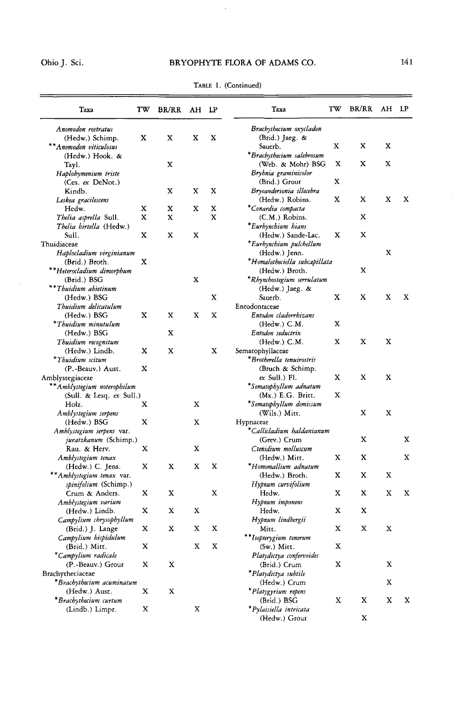# Ohio J. Sci.

 $\sim$ 

## BRYOPHYTE FLORA OF ADAMS CO.

| Taxa                           | TW | BR/RR | AH LP |   | Taxa                          | TW | <b>BR/RR</b> | AH LP |   |
|--------------------------------|----|-------|-------|---|-------------------------------|----|--------------|-------|---|
| Anomodon rostratus             |    |       |       |   | Brachythecium oxycladon       |    |              |       |   |
| (Hedw.) Schimp.                | x  | x     | x     | x | (Brid.) Jaeg. &               |    |              |       |   |
| ** Anomodon viticulosus        |    |       |       |   | Sauerb.                       | X  | x            | х     |   |
| (Hedw.) Hook. &                |    |       |       |   | *Brachythecium salebrosum     |    |              |       |   |
| Tayl.                          |    | x     |       |   | (Web. & Mohr) BSG             | x  | x            | X     |   |
| Haplohymenium triste           |    |       |       |   | Bryhnia graminicolor          |    |              |       |   |
| (Ces. ex DeNot.)               |    |       |       |   | (Brid.) Grout                 | x  |              |       |   |
| Kindb.                         |    | x     | X     | X | Bryoandersonia illecebra      |    |              |       |   |
| Leskea gracilescens            |    |       |       |   | (Hedw.) Robins.               | X  | x            | x     | х |
| Hedw.                          | x  | x     | x     | X | *Conardia compacta            |    |              |       |   |
| <i>Thelia asprella S</i> ull.  | X  | x     |       | X | $(C.M.)$ Robins.              |    | x            |       |   |
| <i>Thelia hirtella</i> (Hedw.) |    |       |       |   | *Eurhynchium hians            |    |              |       |   |
| Sull.                          | x  | X     | x     |   | (Hedw.) Sande-Lac.            | x  | х            |       |   |
| Thuidiaceae                    |    |       |       |   |                               |    |              |       |   |
|                                |    |       |       |   | *Eurhynchium pulchellum       |    |              | x     |   |
| Haplocladium virginianum       |    |       |       |   | (Hedw.) Jenn.                 |    |              |       |   |
| (Brid.) Broth.                 | x  |       |       |   | *Homalotheciella subcapillata |    |              |       |   |
| **Heterocladium dimorphum      |    |       |       |   | (Hedw.) Broth.                |    | X            |       |   |
| (Brid.) BSG                    |    |       | x     |   | *Rhynchostegium serrulatum    |    |              |       |   |
| **Thuidium abietinum           |    |       |       |   | (Hedw.) Jaeg. &               |    |              |       |   |
| (Hedw.) BSG                    |    |       |       | X | Sauerb.                       | X  | X            | X     | х |
| Thuidium delicatulum           |    |       |       |   | Entodontaceae                 |    |              |       |   |
| (Hedw.) BSG                    | х  | X     | x     | X | Entodon cladorrhizans         |    |              |       |   |
| *Thuidium minutulum            |    |       |       |   | $(Hedw.)$ C.M.                | X  |              |       |   |
| (Hedw.) BSG                    |    | X     |       |   | Entodon seductrix             |    |              |       |   |
| Thuidium recognitum            |    |       |       |   | (Hedw.) C.M.                  | X  | х            | x     |   |
| (Hedw.) Lindb.                 | х  | x     |       | X | Sematophyllaceae              |    |              |       |   |
| *Thuidium scitum               |    |       |       |   | *Brotherella tenuirostris     |    |              |       |   |
| (P.-Beauv.) Aust.              | X  |       |       |   | (Bruch & Schimp.              |    |              |       |   |
| Amblystegiaceae                |    |       |       |   | ex Sull.) Fl.                 | x  | x            | x     |   |
| ** Amblystegium noterophilum   |    |       |       |   | *Sematophyllum adnatum        |    |              |       |   |
| (Sull. & Lesq. ex Sull.)       |    |       |       |   | (Mx.) E.G. Britt.             | x  |              |       |   |
| Holz.                          | х  |       | X     |   | *Sematophyllum demissum       |    |              |       |   |
| Amblystegium serpens           |    |       |       |   | (Wils.) Mitt.                 |    | x            | x     |   |
|                                | x  |       | X     |   |                               |    |              |       |   |
| (Hedw.) BSG                    |    |       |       |   | Hypnaceae                     |    |              |       |   |
| Amblystegium serpens var.      |    |       |       |   | *Callicladium haldanianum     |    |              |       |   |
| juratzkanum (Schimp.)          |    |       |       |   | (Grev.) Crum                  |    | x            |       | x |
| Rau. & Herv.                   | x  |       | X     |   | Ctenidium molluscum           |    |              |       |   |
| Amblystegium tenax             |    |       |       |   | (Hedw.) Mitt.                 | x  | x            |       | x |
| (Hedw.) C. Jens.               | x  | X     | x     | X | *Homomallium adnatum          |    |              |       |   |
| ** Amblystegium tenax var.     |    |       |       |   | (Hedw.) Broth.                | x  | x            | х     |   |
| spinifolium (Schimp.)          |    |       |       |   | Hypnum curvifolium            |    |              |       |   |
| Crum & Anders.                 | x  | x     |       | X | Hedw.                         | x  | x            | х     | X |
| Amblystegium varium            |    |       |       |   | Hypnum imponens               |    |              |       |   |
| (Hedw.) Lindb.                 | x  | х     | X     |   | Hedw.                         | X  | x            |       |   |
| Campylium chrysophyllum        |    |       |       |   | Hypnum lindbergii             |    |              |       |   |
| (Brid.) J. Lange               | х  | x     | x     | x | Mitt.                         | x  | X            | х     |   |
| Campylium hispidulum           |    |       |       |   | **Isopterygium tenerum        |    |              |       |   |
| (Brid.) Mitt.                  | x  |       | x     | x | $(Sw.)$ Mitt.                 | x  |              |       |   |
| *Campylium radicale            |    |       |       |   | Platydictya confervoides      |    |              |       |   |
| (P.-Beauv.) Grout              | X  | х     |       |   | (Brid.) Crum                  | X  |              | X     |   |
|                                |    |       |       |   |                               |    |              |       |   |
| Brachytheciaceae               |    |       |       |   | *Platydictya subtile          |    |              |       |   |
| *Brachythecium acuminatum      |    |       |       |   | (Hedw.) Crum                  |    |              | X     |   |
| (Hedw.) Aust.                  | x  | x     |       |   | *Platygyrium repens           |    |              |       |   |
| *Brachythecium curtum          |    |       |       |   | (Brid.) BSG                   | X  | x            | X     | X |
| (Lindb.) Limpr.                | X  |       | X     |   | *Pylaisiella intricata        |    |              |       |   |
|                                |    |       |       |   | (Hedw.) Grout                 |    | x            |       |   |

TABLE 1. (Continued)

 $\bar{\mathcal{A}}$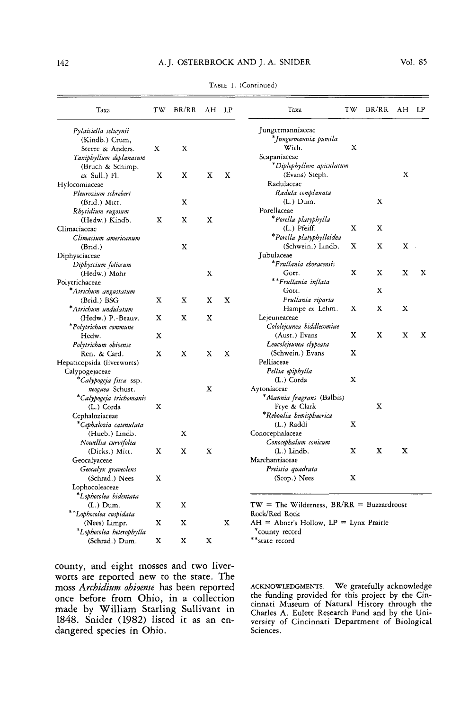#### 142 **A.J. OSTERBROCK AND J. A. SNIDER**

| Taxa                                      | TW | BR/RR | AH | LP | Taxa                                                         | TW | BR/RR | AH    | LP <sub></sub> |
|-------------------------------------------|----|-------|----|----|--------------------------------------------------------------|----|-------|-------|----------------|
|                                           |    |       |    |    |                                                              |    |       |       |                |
| Pylaisiella selwynii                      |    |       |    |    | Jungermanniaceae                                             |    |       |       |                |
| (Kindb.) Crum,                            |    |       |    |    | *Jungermannia pumila                                         |    |       |       |                |
| Steere & Anders.                          | х  | X     |    |    | With.                                                        | X  |       |       |                |
| Taxiphyllum deplanatum                    |    |       |    |    | Scapaniaceae                                                 |    |       |       |                |
| (Bruch & Schimp.                          |    |       |    |    | *Diplophyllum apiculatum                                     |    |       |       |                |
| $ex$ Sull.) Fl.                           | X  | X     | X  | X  | (Evans) Steph.                                               |    |       | X     |                |
| Hylocomiaceae                             |    |       |    |    | Radulaceae                                                   |    |       |       |                |
| Pleurozium schreberi                      |    |       |    |    | Radula complanata                                            |    |       |       |                |
| (Brid.) Mitt.                             |    | X     |    |    | $(L.)$ Dum.                                                  |    | х     |       |                |
| Rhytidium rugosum                         |    |       |    |    | Porellaceae                                                  |    |       |       |                |
| (Hedw.) Kindb.                            | X  | X     | X  |    | *Porella platyphylla                                         |    |       |       |                |
| Climaciaceae                              |    |       |    |    | (L.) Pfeiff.                                                 | x  | X     |       |                |
| Climacium americanum                      |    |       |    |    | *Porella platyphylloidea                                     |    |       |       |                |
| (Brid.)                                   |    | X     |    |    | (Schwein.) Lindb.                                            | X  | X     | $X -$ |                |
| Diphysciaceae                             |    |       |    |    | Jubulaceae                                                   |    |       |       |                |
| Diphyscium foliosum                       |    |       |    |    | *Frullania ehoracensis                                       |    |       |       |                |
| (Hedw.) Mohr                              |    |       | X  |    | Gott.                                                        | X  | X     | X     | X              |
| Polytrichaceae                            |    |       |    |    | **Frullania inflata                                          |    |       |       |                |
| *Atrichum angustatum                      |    |       |    |    | Gott.                                                        |    | X     |       |                |
| (Brid.) BSG                               | X  | X     | X  | X  | Frullania riparia                                            |    |       |       |                |
| *Atrichum undulatum                       |    |       |    |    | Hampe ex Lehm.                                               | X  | X     | x     |                |
| (Hedw.) P.-Beauv.                         | x  | X     | x  |    | Lejeuneaceae                                                 |    |       |       |                |
| *Polytrichum commune                      |    |       |    |    | Cololejeunea biddlecomiae                                    |    |       |       |                |
| Hedw.                                     | X  |       |    |    | (Aust.) Evans                                                | X  | X     | X     | X              |
| Polytrichum ohioense                      |    |       |    |    | Leucolejeunea clypeata                                       |    |       |       |                |
| Ren. & Card.                              | X  | X     | X  | X  | (Schwein.) Evans                                             | X  |       |       |                |
| Hepaticopsida (liverworts)                |    |       |    |    | Pelliaceae                                                   |    |       |       |                |
| Calypogejaceae                            |    |       |    |    | Pellia epiphylla                                             |    |       |       |                |
| *Calypogeja fissa ssp.                    |    |       |    |    | $(L.)$ Corda                                                 | X  |       |       |                |
| neogaea Schust.                           |    |       | X  |    | Aytoniaceae                                                  |    |       |       |                |
| *Calypogeja trichomanis                   |    |       |    |    | * <i>Mannia fragrans</i> (Balbis)                            |    |       |       |                |
| (L.) Corda                                | X  |       |    |    | Frye & Clark                                                 |    | X     |       |                |
| Cephaloziaceae                            |    |       |    |    | *Reboulia hemisphaerica                                      |    |       |       |                |
| *Cephalozia catenulata                    |    |       |    |    | (L.) Raddi                                                   | X  |       |       |                |
| (Hueb.) Lindb.                            |    | X     |    |    | Conocephalaceae                                              |    |       |       |                |
| Nowellia curvifolia                       |    |       |    |    | Conocephalum conicum                                         |    |       |       |                |
| (Dicks.) Mitt.                            | X  | X     | X  |    | $(L.)$ Lindb.                                                | X  | x     | x     |                |
| Geocalyaceae                              |    |       |    |    | Marchantiaceae                                               |    |       |       |                |
| Geocalyx graveolens                       |    |       |    |    | Preissia quadrata                                            |    |       |       |                |
| (Schrad.) Nees                            | X  |       |    |    | (Scop.) Nees                                                 | X  |       |       |                |
| Lophocoleaceae                            |    |       |    |    |                                                              |    |       |       |                |
| *Lophocolea bidentata                     |    |       |    |    |                                                              |    |       |       |                |
| $(L.)$ Dum.                               | x  | X     |    |    | $TW = The Wilderness, BR/RR = Buzzardroost$                  |    |       |       |                |
| **Lophocolea cuspidata                    |    |       |    |    | Rock/Red Rock                                                |    |       |       |                |
| (Nees) Limpr.<br>*Lophocolea heterophylla | x  | X     |    | X  | $AH =$ Abner's Hollow, $LP =$ Lynx Prairie<br>*county record |    |       |       |                |
| (Schrad.) Dum.                            | x  | X     | X  |    | **state record                                               |    |       |       |                |

TABLE 1. (Continued)

county, and eight mosses and two liverworts are reported new to the state. The moss *Archidium ohioense* has been reported once before from Ohio, in a collection made by William Starling Sullivant in 1848. Snider (1982) listed it as an endangered species in Ohio.

**ACKNOWLEDGMENTS. We gratefully acknowledge the funding provided for this project by the Cincinnati Museum of Natural History through the Charles A. Eulett Research Fund and by the University of Cincinnati Department of Biological Sciences.**